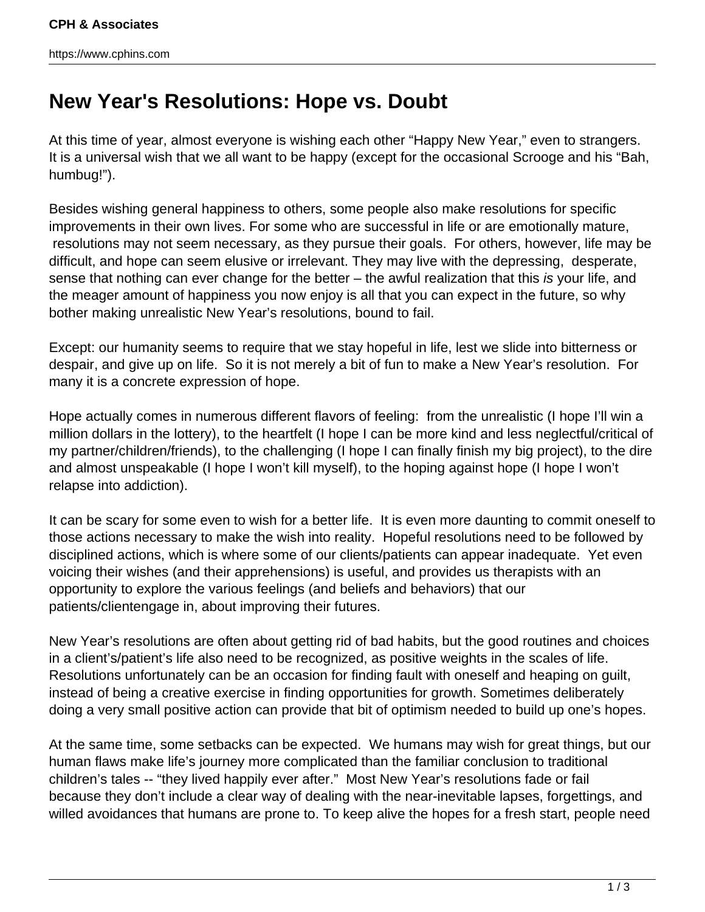https://www.cphins.com

## **New Year's Resolutions: Hope vs. Doubt**

At this time of year, almost everyone is wishing each other "Happy New Year," even to strangers. It is a universal wish that we all want to be happy (except for the occasional Scrooge and his "Bah, humbug!").

Besides wishing general happiness to others, some people also make resolutions for specific improvements in their own lives. For some who are successful in life or are emotionally mature, resolutions may not seem necessary, as they pursue their goals. For others, however, life may be difficult, and hope can seem elusive or irrelevant. They may live with the depressing, desperate, sense that nothing can ever change for the better – the awful realization that this is your life, and the meager amount of happiness you now enjoy is all that you can expect in the future, so why bother making unrealistic New Year's resolutions, bound to fail.

Except: our humanity seems to require that we stay hopeful in life, lest we slide into bitterness or despair, and give up on life. So it is not merely a bit of fun to make a New Year's resolution. For many it is a concrete expression of hope.

Hope actually comes in numerous different flavors of feeling: from the unrealistic (I hope I'll win a million dollars in the lottery), to the heartfelt (I hope I can be more kind and less neglectful/critical of my partner/children/friends), to the challenging (I hope I can finally finish my big project), to the dire and almost unspeakable (I hope I won't kill myself), to the hoping against hope (I hope I won't relapse into addiction).

It can be scary for some even to wish for a better life. It is even more daunting to commit oneself to those actions necessary to make the wish into reality. Hopeful resolutions need to be followed by disciplined actions, which is where some of our clients/patients can appear inadequate. Yet even voicing their wishes (and their apprehensions) is useful, and provides us therapists with an opportunity to explore the various feelings (and beliefs and behaviors) that our patients/clientengage in, about improving their futures.

New Year's resolutions are often about getting rid of bad habits, but the good routines and choices in a client's/patient's life also need to be recognized, as positive weights in the scales of life. Resolutions unfortunately can be an occasion for finding fault with oneself and heaping on guilt, instead of being a creative exercise in finding opportunities for growth. Sometimes deliberately doing a very small positive action can provide that bit of optimism needed to build up one's hopes.

At the same time, some setbacks can be expected. We humans may wish for great things, but our human flaws make life's journey more complicated than the familiar conclusion to traditional children's tales -- "they lived happily ever after." Most New Year's resolutions fade or fail because they don't include a clear way of dealing with the near-inevitable lapses, forgettings, and willed avoidances that humans are prone to. To keep alive the hopes for a fresh start, people need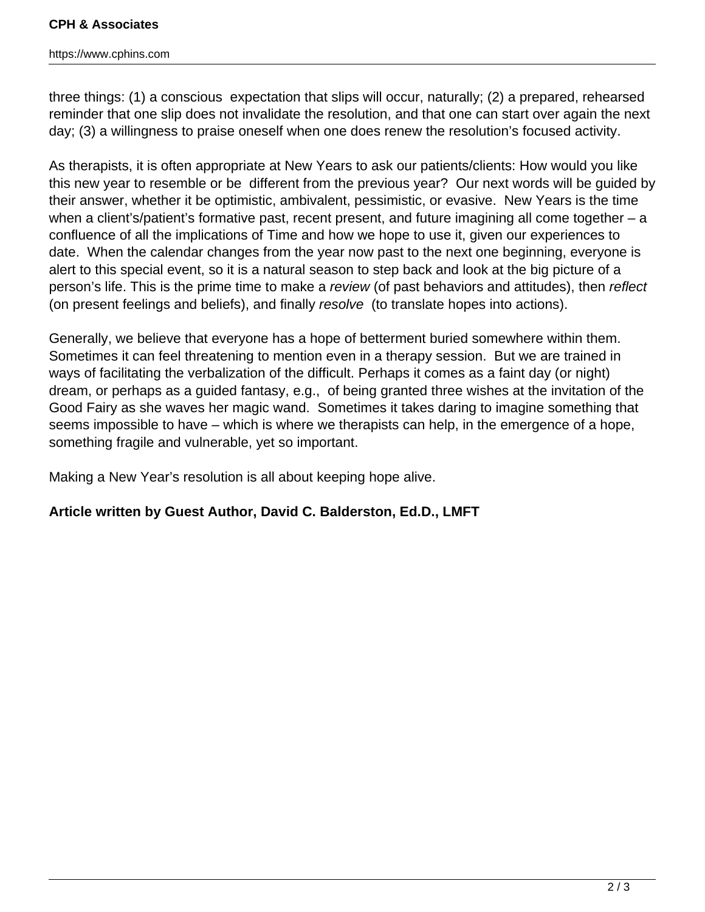## **CPH & Associates**

https://www.cphins.com

three things: (1) a conscious expectation that slips will occur, naturally; (2) a prepared, rehearsed reminder that one slip does not invalidate the resolution, and that one can start over again the next day; (3) a willingness to praise oneself when one does renew the resolution's focused activity.

As therapists, it is often appropriate at New Years to ask our patients/clients: How would you like this new year to resemble or be different from the previous year? Our next words will be guided by their answer, whether it be optimistic, ambivalent, pessimistic, or evasive. New Years is the time when a client's/patient's formative past, recent present, and future imagining all come together – a confluence of all the implications of Time and how we hope to use it, given our experiences to date. When the calendar changes from the year now past to the next one beginning, everyone is alert to this special event, so it is a natural season to step back and look at the big picture of a person's life. This is the prime time to make a review (of past behaviors and attitudes), then reflect (on present feelings and beliefs), and finally resolve (to translate hopes into actions).

Generally, we believe that everyone has a hope of betterment buried somewhere within them. Sometimes it can feel threatening to mention even in a therapy session. But we are trained in ways of facilitating the verbalization of the difficult. Perhaps it comes as a faint day (or night) dream, or perhaps as a guided fantasy, e.g., of being granted three wishes at the invitation of the Good Fairy as she waves her magic wand. Sometimes it takes daring to imagine something that seems impossible to have – which is where we therapists can help, in the emergence of a hope, something fragile and vulnerable, yet so important.

Making a New Year's resolution is all about keeping hope alive.

## **Article written by Guest Author, David C. Balderston, Ed.D., LMFT**